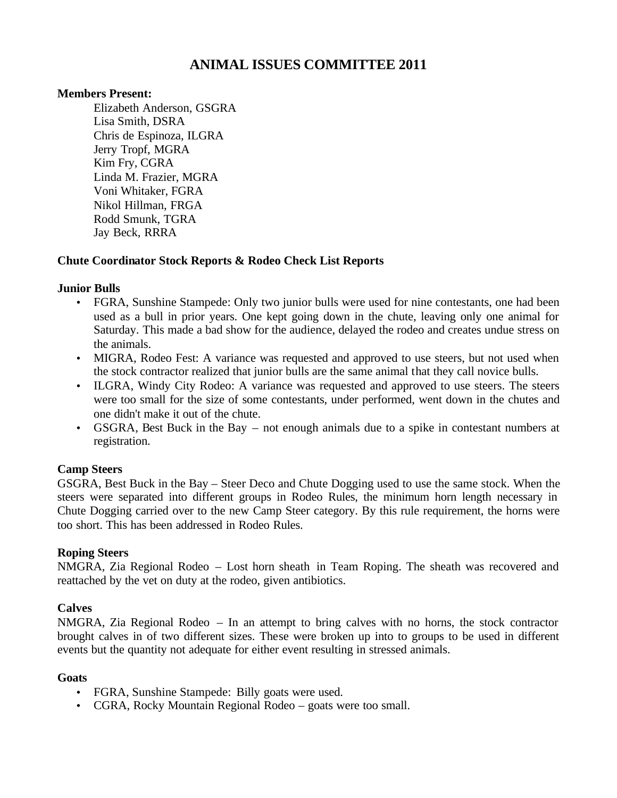# **ANIMAL ISSUES COMMITTEE 2011**

### **Members Present:**

Elizabeth Anderson, GSGRA Lisa Smith, DSRA Chris de Espinoza, ILGRA Jerry Tropf, MGRA Kim Fry, CGRA Linda M. Frazier, MGRA Voni Whitaker, FGRA Nikol Hillman, FRGA Rodd Smunk, TGRA Jay Beck, RRRA

### **Chute Coordinator Stock Reports & Rodeo Check List Reports**

### **Junior Bulls**

- FGRA, Sunshine Stampede: Only two junior bulls were used for nine contestants, one had been used as a bull in prior years. One kept going down in the chute, leaving only one animal for Saturday. This made a bad show for the audience, delayed the rodeo and creates undue stress on the animals.
- MIGRA, Rodeo Fest: A variance was requested and approved to use steers, but not used when the stock contractor realized that junior bulls are the same animal that they call novice bulls.
- ILGRA, Windy City Rodeo: A variance was requested and approved to use steers. The steers were too small for the size of some contestants, under performed, went down in the chutes and one didn't make it out of the chute.
- GSGRA, Best Buck in the Bay not enough animals due to a spike in contestant numbers at registration.

# **Camp Steers**

GSGRA, Best Buck in the Bay – Steer Deco and Chute Dogging used to use the same stock. When the steers were separated into different groups in Rodeo Rules, the minimum horn length necessary in Chute Dogging carried over to the new Camp Steer category. By this rule requirement, the horns were too short. This has been addressed in Rodeo Rules.

### **Roping Steers**

NMGRA, Zia Regional Rodeo – Lost horn sheath in Team Roping. The sheath was recovered and reattached by the vet on duty at the rodeo, given antibiotics.

# **Calves**

NMGRA, Zia Regional Rodeo – In an attempt to bring calves with no horns, the stock contractor brought calves in of two different sizes. These were broken up into to groups to be used in different events but the quantity not adequate for either event resulting in stressed animals.

### **Goats**

- FGRA, Sunshine Stampede: Billy goats were used.
- CGRA, Rocky Mountain Regional Rodeo goats were too small.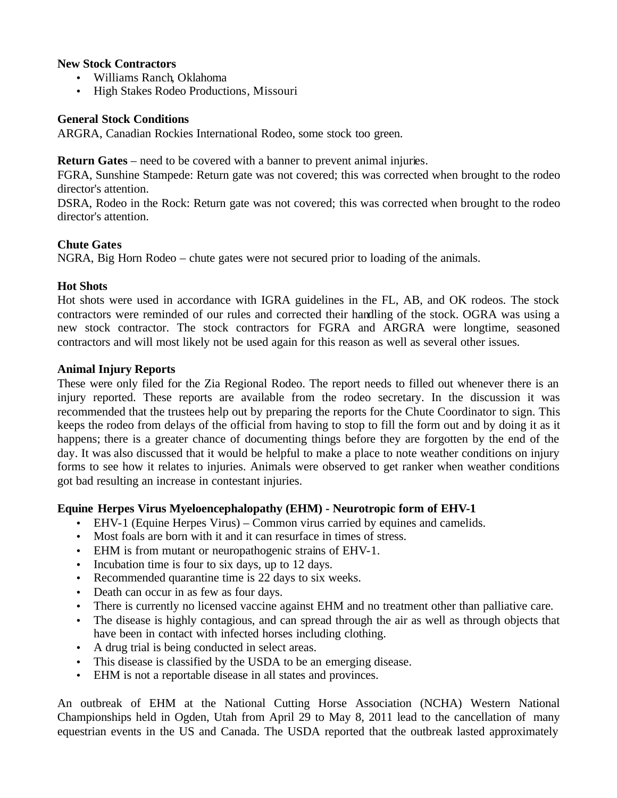### **New Stock Contractors**

- Williams Ranch, Oklahoma
- High Stakes Rodeo Productions, Missouri

### **General Stock Conditions**

ARGRA, Canadian Rockies International Rodeo, some stock too green.

**Return Gates** – need to be covered with a banner to prevent animal injuries.

FGRA, Sunshine Stampede: Return gate was not covered; this was corrected when brought to the rodeo director's attention.

DSRA, Rodeo in the Rock: Return gate was not covered; this was corrected when brought to the rodeo director's attention.

# **Chute Gates**

NGRA, Big Horn Rodeo – chute gates were not secured prior to loading of the animals.

# **Hot Shots**

Hot shots were used in accordance with IGRA guidelines in the FL, AB, and OK rodeos. The stock contractors were reminded of our rules and corrected their handling of the stock. OGRA was using a new stock contractor. The stock contractors for FGRA and ARGRA were longtime, seasoned contractors and will most likely not be used again for this reason as well as several other issues.

### **Animal Injury Reports**

These were only filed for the Zia Regional Rodeo. The report needs to filled out whenever there is an injury reported. These reports are available from the rodeo secretary. In the discussion it was recommended that the trustees help out by preparing the reports for the Chute Coordinator to sign. This keeps the rodeo from delays of the official from having to stop to fill the form out and by doing it as it happens; there is a greater chance of documenting things before they are forgotten by the end of the day. It was also discussed that it would be helpful to make a place to note weather conditions on injury forms to see how it relates to injuries. Animals were observed to get ranker when weather conditions got bad resulting an increase in contestant injuries.

# **Equine Herpes Virus Myeloencephalopathy (EHM) - Neurotropic form of EHV-1**

- EHV-1 (Equine Herpes Virus) Common virus carried by equines and camelids.
- Most foals are born with it and it can resurface in times of stress.
- EHM is from mutant or neuropathogenic strains of EHV-1.
- Incubation time is four to six days, up to 12 days.
- Recommended quarantine time is 22 days to six weeks.
- Death can occur in as few as four days.
- There is currently no licensed vaccine against EHM and no treatment other than palliative care.
- The disease is highly contagious, and can spread through the air as well as through objects that have been in contact with infected horses including clothing.
- A drug trial is being conducted in select areas.
- This disease is classified by the USDA to be an emerging disease.
- EHM is not a reportable disease in all states and provinces.

An outbreak of EHM at the National Cutting Horse Association (NCHA) Western National Championships held in Ogden, Utah from April 29 to May 8, 2011 lead to the cancellation of many equestrian events in the US and Canada. The USDA reported that the outbreak lasted approximately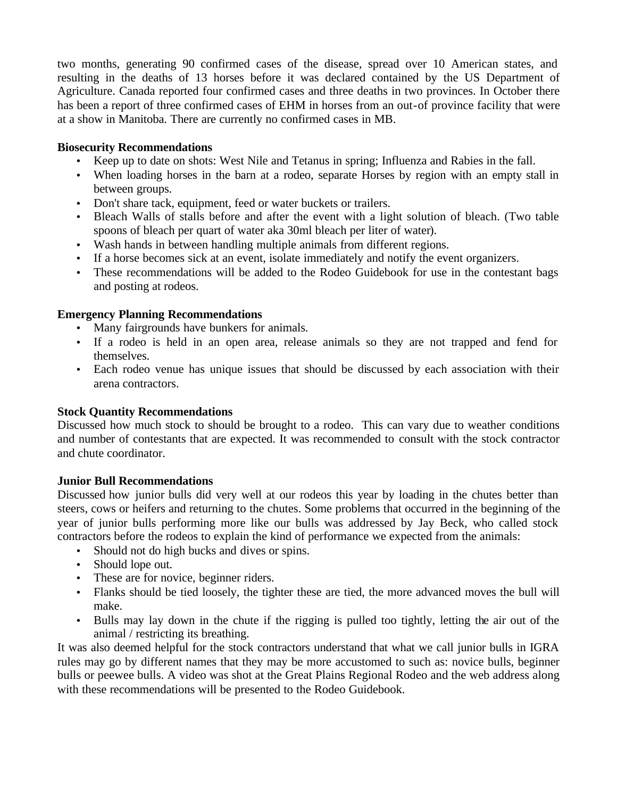two months, generating 90 confirmed cases of the disease, spread over 10 American states, and resulting in the deaths of 13 horses before it was declared contained by the US Department of Agriculture. Canada reported four confirmed cases and three deaths in two provinces. In October there has been a report of three confirmed cases of EHM in horses from an out-of province facility that were at a show in Manitoba. There are currently no confirmed cases in MB.

### **Biosecurity Recommendations**

- Keep up to date on shots: West Nile and Tetanus in spring; Influenza and Rabies in the fall.
- When loading horses in the barn at a rodeo, separate Horses by region with an empty stall in between groups.
- Don't share tack, equipment, feed or water buckets or trailers.
- Bleach Walls of stalls before and after the event with a light solution of bleach. (Two table spoons of bleach per quart of water aka 30ml bleach per liter of water).
- Wash hands in between handling multiple animals from different regions.
- If a horse becomes sick at an event, isolate immediately and notify the event organizers.
- These recommendations will be added to the Rodeo Guidebook for use in the contestant bags and posting at rodeos.

### **Emergency Planning Recommendations**

- Many fairgrounds have bunkers for animals.
- If a rodeo is held in an open area, release animals so they are not trapped and fend for themselves.
- Each rodeo venue has unique issues that should be discussed by each association with their arena contractors.

### **Stock Quantity Recommendations**

Discussed how much stock to should be brought to a rodeo. This can vary due to weather conditions and number of contestants that are expected. It was recommended to consult with the stock contractor and chute coordinator.

### **Junior Bull Recommendations**

Discussed how junior bulls did very well at our rodeos this year by loading in the chutes better than steers, cows or heifers and returning to the chutes. Some problems that occurred in the beginning of the year of junior bulls performing more like our bulls was addressed by Jay Beck, who called stock contractors before the rodeos to explain the kind of performance we expected from the animals:

- Should not do high bucks and dives or spins.
- Should lope out.
- These are for novice, beginner riders.
- Flanks should be tied loosely, the tighter these are tied, the more advanced moves the bull will make.
- Bulls may lay down in the chute if the rigging is pulled too tightly, letting the air out of the animal / restricting its breathing.

It was also deemed helpful for the stock contractors understand that what we call junior bulls in IGRA rules may go by different names that they may be more accustomed to such as: novice bulls, beginner bulls or peewee bulls. A video was shot at the Great Plains Regional Rodeo and the web address along with these recommendations will be presented to the Rodeo Guidebook.